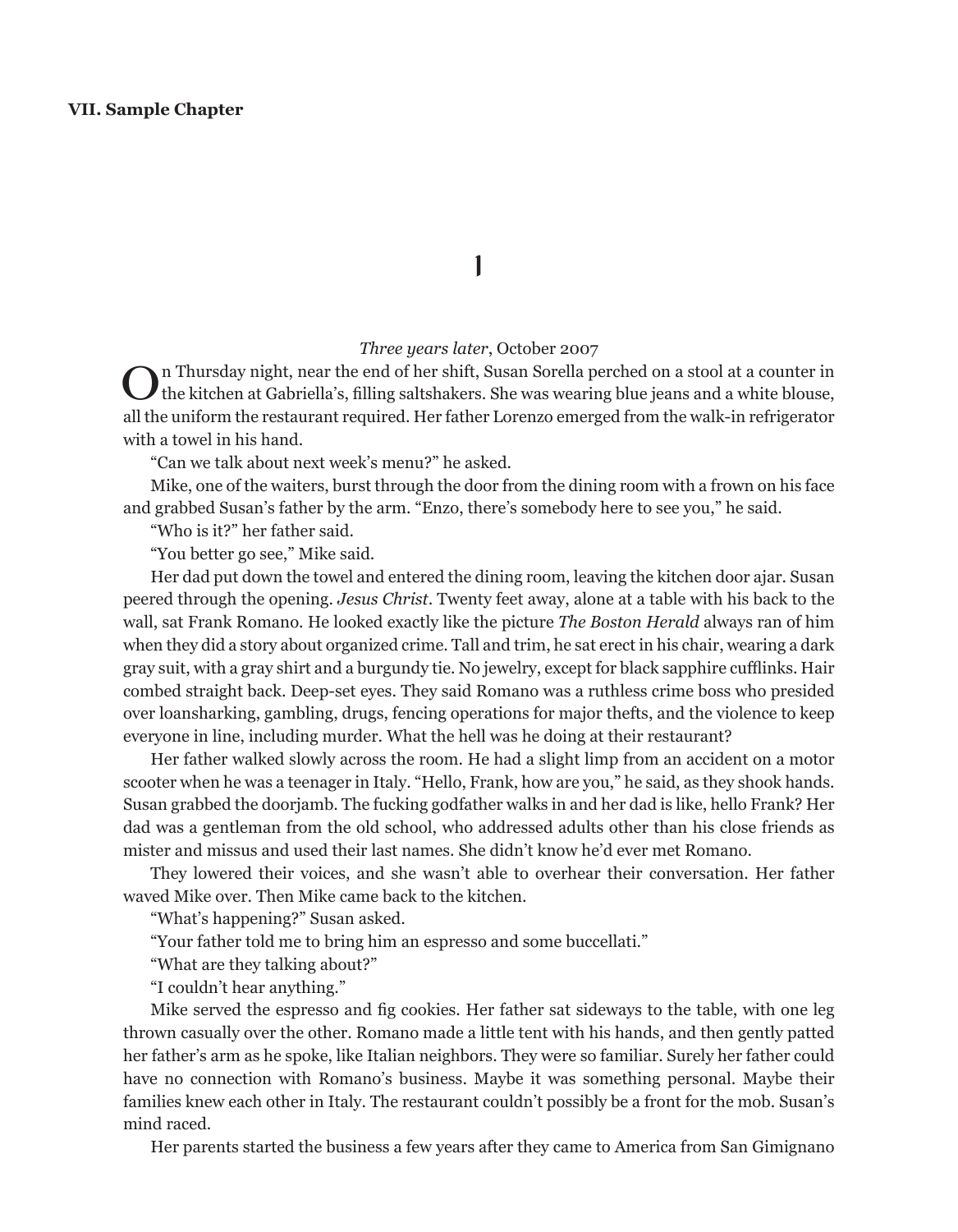## **VII. Sample Chapter**

## *Three years later*, October 2007

1

**O**n Thursday night, near the end of her shift, Susan Sorella perched on a stool at a counter in the kitchen at Gabriella's, filling saltshakers. She was wearing blue jeans and a white blouse, all the uniform the restauran If the kitchen at Gabriella's, filling saltshakers. She was wearing blue jeans and a white blouse, with a towel in his hand.

"Can we talk about next week's menu?" he asked.

Mike, one of the waiters, burst through the door from the dining room with a frown on his face and grabbed Susan's father by the arm. "Enzo, there's somebody here to see you," he said.

"Who is it?" her father said.

"You better go see," Mike said.

Her dad put down the towel and entered the dining room, leaving the kitchen door ajar. Susan peered through the opening. *Jesus Christ*. Twenty feet away, alone at a table with his back to the wall, sat Frank Romano. He looked exactly like the picture *The Boston Herald* always ran of him when they did a story about organized crime. Tall and trim, he sat erect in his chair, wearing a dark gray suit, with a gray shirt and a burgundy tie. No jewelry, except for black sapphire cufinks. Hair combed straight back. Deep-set eyes. They said Romano was a ruthless crime boss who presided over loansharking, gambling, drugs, fencing operations for major thefts, and the violence to keep everyone in line, including murder. What the hell was he doing at their restaurant?

Her father walked slowly across the room. He had a slight limp from an accident on a motor scooter when he was a teenager in Italy. "Hello, Frank, how are you," he said, as they shook hands. Susan grabbed the doorjamb. The fucking godfather walks in and her dad is like, hello Frank? Her dad was a gentleman from the old school, who addressed adults other than his close friends as mister and missus and used their last names. She didn't know he'd ever met Romano.

They lowered their voices, and she wasn't able to overhear their conversation. Her father waved Mike over. Then Mike came back to the kitchen.

"What's happening?" Susan asked.

"Your father told me to bring him an espresso and some buccellati."

"What are they talking about?"

"I couldn't hear anything."

Mike served the espresso and fg cookies. Her father sat sideways to the table, with one leg thrown casually over the other. Romano made a little tent with his hands, and then gently patted her father's arm as he spoke, like Italian neighbors. They were so familiar. Surely her father could have no connection with Romano's business. Maybe it was something personal. Maybe their families knew each other in Italy. The restaurant couldn't possibly be a front for the mob. Susan's mind raced.

Her parents started the business a few years after they came to America from San Gimignano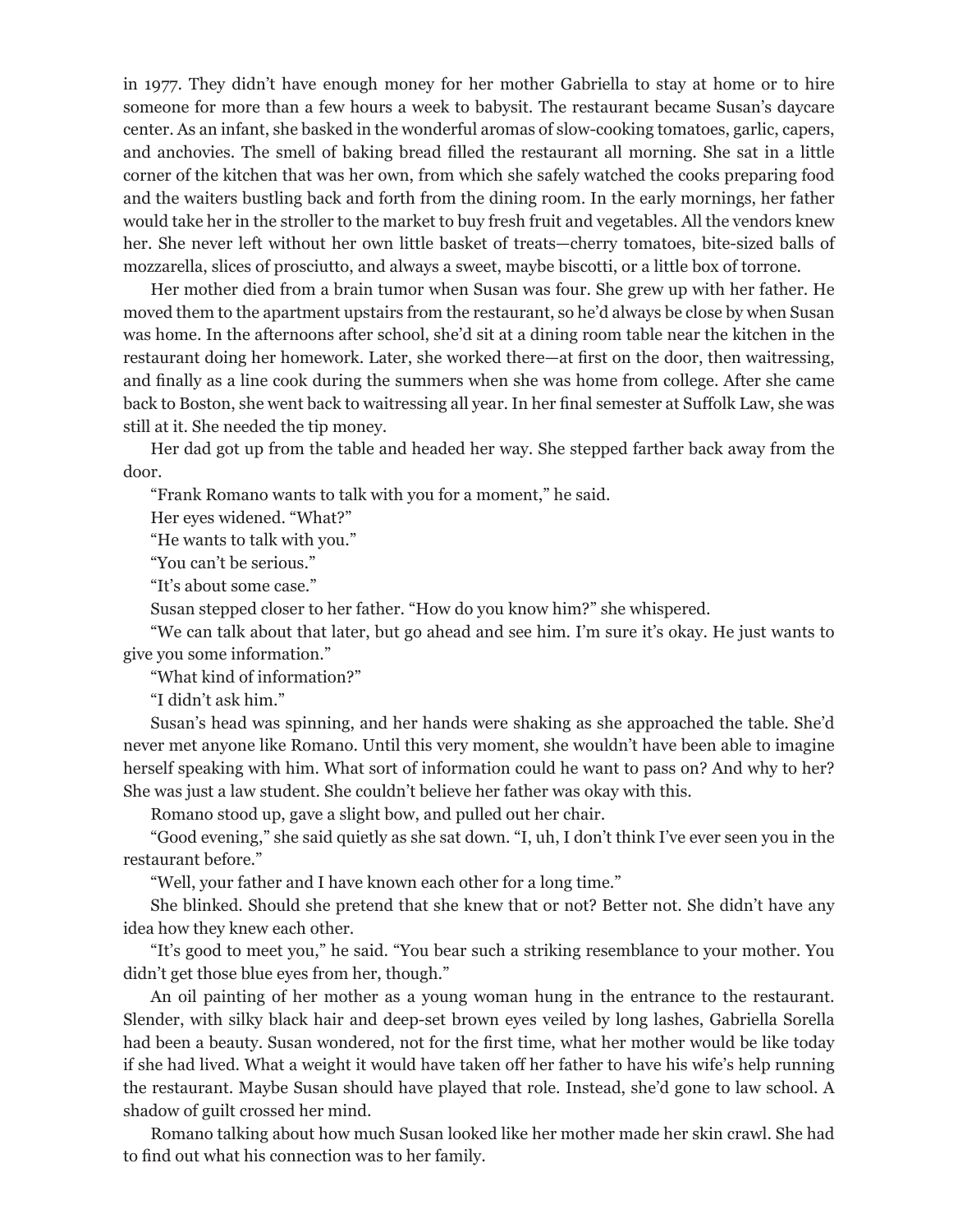in 1977. They didn't have enough money for her mother Gabriella to stay at home or to hire someone for more than a few hours a week to babysit. The restaurant became Susan's daycare center. As an infant, she basked in the wonderful aromas of slow-cooking tomatoes, garlic, capers, and anchovies. The smell of baking bread flled the restaurant all morning. She sat in a little corner of the kitchen that was her own, from which she safely watched the cooks preparing food and the waiters bustling back and forth from the dining room. In the early mornings, her father would take her in the stroller to the market to buy fresh fruit and vegetables. All the vendors knew her. She never left without her own little basket of treats—cherry tomatoes, bite-sized balls of mozzarella, slices of prosciutto, and always a sweet, maybe biscotti, or a little box of torrone.

Her mother died from a brain tumor when Susan was four. She grew up with her father. He moved them to the apartment upstairs from the restaurant, so he'd always be close by when Susan was home. In the afternoons after school, she'd sit at a dining room table near the kitchen in the restaurant doing her homework. Later, she worked there—at frst on the door, then waitressing, and fnally as a line cook during the summers when she was home from college. After she came back to Boston, she went back to waitressing all year. In her fnal semester at Sufolk Law, she was still at it. She needed the tip money.

Her dad got up from the table and headed her way. She stepped farther back away from the door.

"Frank Romano wants to talk with you for a moment," he said.

Her eyes widened. "What?"

"He wants to talk with you."

"You can't be serious."

"It's about some case."

Susan stepped closer to her father. "How do you know him?" she whispered.

"We can talk about that later, but go ahead and see him. I'm sure it's okay. He just wants to give you some information."

"What kind of information?"

"I didn't ask him."

Susan's head was spinning, and her hands were shaking as she approached the table. She'd never met anyone like Romano. Until this very moment, she wouldn't have been able to imagine herself speaking with him. What sort of information could he want to pass on? And why to her? She was just a law student. She couldn't believe her father was okay with this.

Romano stood up, gave a slight bow, and pulled out her chair.

"Good evening," she said quietly as she sat down. "I, uh, I don't think I've ever seen you in the restaurant before."

"Well, your father and I have known each other for a long time."

She blinked. Should she pretend that she knew that or not? Better not. She didn't have any idea how they knew each other.

"It's good to meet you," he said. "You bear such a striking resemblance to your mother. You didn't get those blue eyes from her, though."

An oil painting of her mother as a young woman hung in the entrance to the restaurant. Slender, with silky black hair and deep-set brown eyes veiled by long lashes, Gabriella Sorella had been a beauty. Susan wondered, not for the frst time, what her mother would be like today if she had lived. What a weight it would have taken off her father to have his wife's help running the restaurant. Maybe Susan should have played that role. Instead, she'd gone to law school. A shadow of guilt crossed her mind.

Romano talking about how much Susan looked like her mother made her skin crawl. She had to fnd out what his connection was to her family.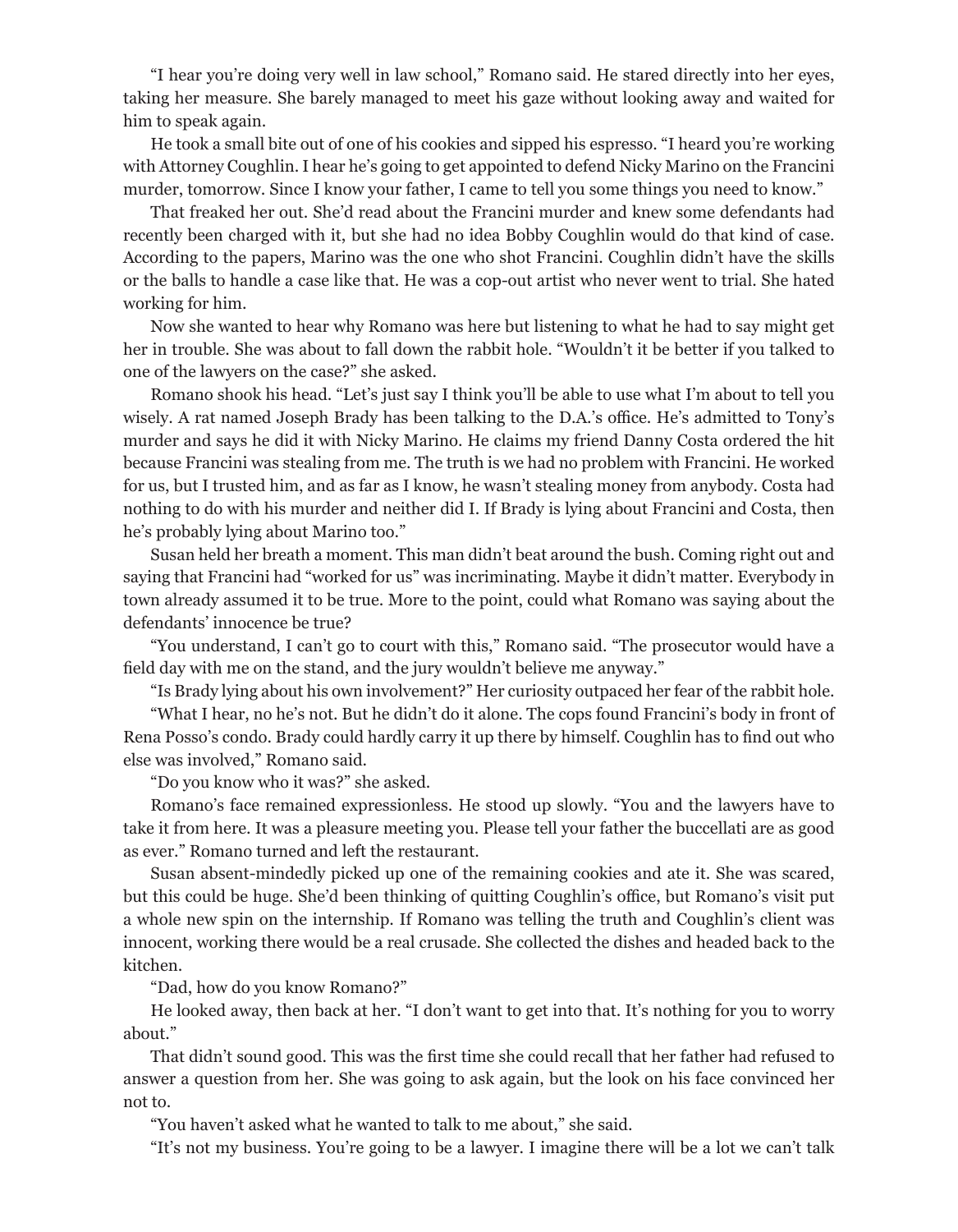"I hear you're doing very well in law school," Romano said. He stared directly into her eyes, taking her measure. She barely managed to meet his gaze without looking away and waited for him to speak again.

He took a small bite out of one of his cookies and sipped his espresso. "I heard you're working with Attorney Coughlin. I hear he's going to get appointed to defend Nicky Marino on the Francini murder, tomorrow. Since I know your father, I came to tell you some things you need to know."

That freaked her out. She'd read about the Francini murder and knew some defendants had recently been charged with it, but she had no idea Bobby Coughlin would do that kind of case. According to the papers, Marino was the one who shot Francini. Coughlin didn't have the skills or the balls to handle a case like that. He was a cop-out artist who never went to trial. She hated working for him.

Now she wanted to hear why Romano was here but listening to what he had to say might get her in trouble. She was about to fall down the rabbit hole. "Wouldn't it be better if you talked to one of the lawyers on the case?" she asked.

Romano shook his head. "Let's just say I think you'll be able to use what I'm about to tell you wisely. A rat named Joseph Brady has been talking to the D.A.'s office. He's admitted to Tony's murder and says he did it with Nicky Marino. He claims my friend Danny Costa ordered the hit because Francini was stealing from me. The truth is we had no problem with Francini. He worked for us, but I trusted him, and as far as I know, he wasn't stealing money from anybody. Costa had nothing to do with his murder and neither did I. If Brady is lying about Francini and Costa, then he's probably lying about Marino too."

Susan held her breath a moment. This man didn't beat around the bush. Coming right out and saying that Francini had "worked for us" was incriminating. Maybe it didn't matter. Everybody in town already assumed it to be true. More to the point, could what Romano was saying about the defendants' innocence be true?

"You understand, I can't go to court with this," Romano said. "The prosecutor would have a feld day with me on the stand, and the jury wouldn't believe me anyway."

"Is Brady lying about his own involvement?" Her curiosity outpaced her fear of the rabbit hole.

"What I hear, no he's not. But he didn't do it alone. The cops found Francini's body in front of Rena Posso's condo. Brady could hardly carry it up there by himself. Coughlin has to fnd out who else was involved," Romano said.

"Do you know who it was?" she asked.

Romano's face remained expressionless. He stood up slowly. "You and the lawyers have to take it from here. It was a pleasure meeting you. Please tell your father the buccellati are as good as ever." Romano turned and left the restaurant.

Susan absent-mindedly picked up one of the remaining cookies and ate it. She was scared, but this could be huge. She'd been thinking of quitting Coughlin's office, but Romano's visit put a whole new spin on the internship. If Romano was telling the truth and Coughlin's client was innocent, working there would be a real crusade. She collected the dishes and headed back to the kitchen.

"Dad, how do you know Romano?"

He looked away, then back at her. "I don't want to get into that. It's nothing for you to worry about."

That didn't sound good. This was the frst time she could recall that her father had refused to answer a question from her. She was going to ask again, but the look on his face convinced her not to.

"You haven't asked what he wanted to talk to me about," she said.

"It's not my business. You're going to be a lawyer. I imagine there will be a lot we can't talk